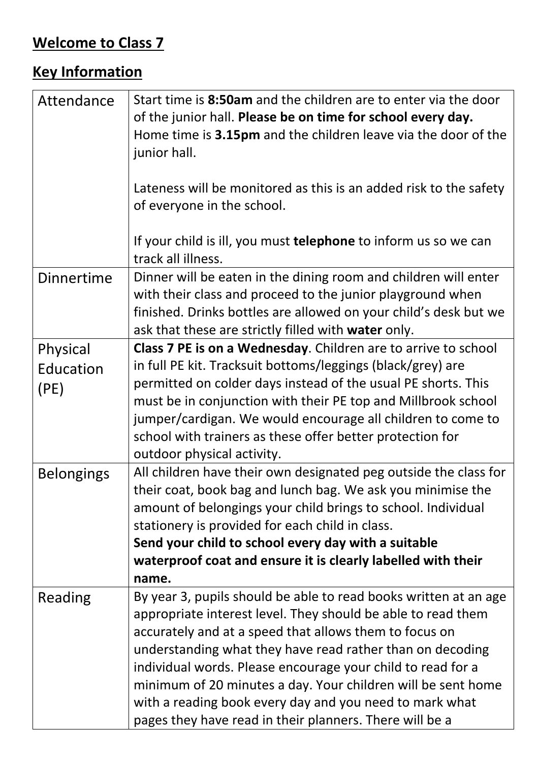## **Welcome to Class 7**

## **Key Information**

| Attendance        | Start time is 8:50am and the children are to enter via the door<br>of the junior hall. Please be on time for school every day.<br>Home time is 3.15pm and the children leave via the door of the<br>junior hall.<br>Lateness will be monitored as this is an added risk to the safety<br>of everyone in the school.<br>If your child is ill, you must telephone to inform us so we can |
|-------------------|----------------------------------------------------------------------------------------------------------------------------------------------------------------------------------------------------------------------------------------------------------------------------------------------------------------------------------------------------------------------------------------|
|                   | track all illness.                                                                                                                                                                                                                                                                                                                                                                     |
| <b>Dinnertime</b> | Dinner will be eaten in the dining room and children will enter<br>with their class and proceed to the junior playground when<br>finished. Drinks bottles are allowed on your child's desk but we<br>ask that these are strictly filled with water only.                                                                                                                               |
| Physical          | Class 7 PE is on a Wednesday. Children are to arrive to school                                                                                                                                                                                                                                                                                                                         |
| Education         | in full PE kit. Tracksuit bottoms/leggings (black/grey) are                                                                                                                                                                                                                                                                                                                            |
| (PE)              | permitted on colder days instead of the usual PE shorts. This                                                                                                                                                                                                                                                                                                                          |
|                   | must be in conjunction with their PE top and Millbrook school                                                                                                                                                                                                                                                                                                                          |
|                   | jumper/cardigan. We would encourage all children to come to                                                                                                                                                                                                                                                                                                                            |
|                   | school with trainers as these offer better protection for<br>outdoor physical activity.                                                                                                                                                                                                                                                                                                |
| <b>Belongings</b> | All children have their own designated peg outside the class for                                                                                                                                                                                                                                                                                                                       |
|                   | their coat, book bag and lunch bag. We ask you minimise the                                                                                                                                                                                                                                                                                                                            |
|                   | amount of belongings your child brings to school. Individual                                                                                                                                                                                                                                                                                                                           |
|                   | stationery is provided for each child in class.                                                                                                                                                                                                                                                                                                                                        |
|                   | Send your child to school every day with a suitable                                                                                                                                                                                                                                                                                                                                    |
|                   | waterproof coat and ensure it is clearly labelled with their                                                                                                                                                                                                                                                                                                                           |
|                   | name.                                                                                                                                                                                                                                                                                                                                                                                  |
| Reading           | By year 3, pupils should be able to read books written at an age                                                                                                                                                                                                                                                                                                                       |
|                   | appropriate interest level. They should be able to read them                                                                                                                                                                                                                                                                                                                           |
|                   | accurately and at a speed that allows them to focus on                                                                                                                                                                                                                                                                                                                                 |
|                   | understanding what they have read rather than on decoding                                                                                                                                                                                                                                                                                                                              |
|                   | individual words. Please encourage your child to read for a<br>minimum of 20 minutes a day. Your children will be sent home                                                                                                                                                                                                                                                            |
|                   | with a reading book every day and you need to mark what                                                                                                                                                                                                                                                                                                                                |
|                   | pages they have read in their planners. There will be a                                                                                                                                                                                                                                                                                                                                |